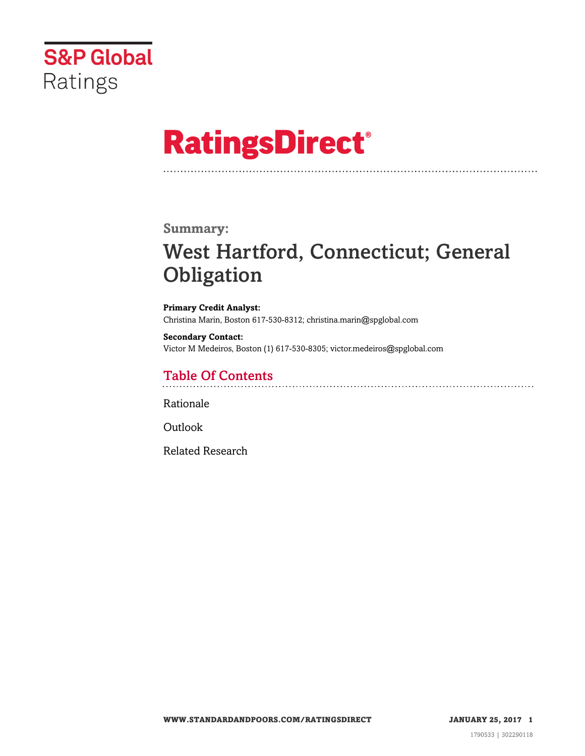

# **RatingsDirect®**

### **Summary:**

# West Hartford, Connecticut; General **Obligation**

**Primary Credit Analyst:** Christina Marin, Boston 617-530-8312; christina.marin@spglobal.com

**Secondary Contact:** Victor M Medeiros, Boston (1) 617-530-8305; victor.medeiros@spglobal.com

# Table Of Contents

[Rationale](#page-1-0)

[Outlook](#page-5-0)

[Related Research](#page-5-1)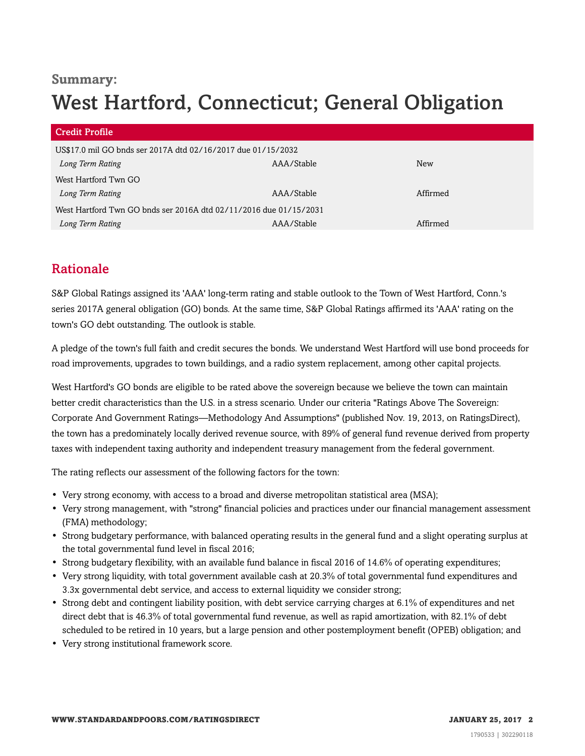### **Summary:**

# West Hartford, Connecticut; General Obligation

| <b>Credit Profile</b>                                             |            |          |
|-------------------------------------------------------------------|------------|----------|
| US\$17.0 mil GO bnds ser 2017A dtd 02/16/2017 due 01/15/2032      |            |          |
| Long Term Rating                                                  | AAA/Stable | New      |
| West Hartford Twn GO                                              |            |          |
| Long Term Rating                                                  | AAA/Stable | Affirmed |
| West Hartford Twn GO bnds ser 2016A dtd 02/11/2016 due 01/15/2031 |            |          |
| Long Term Rating                                                  | AAA/Stable | Affirmed |

# <span id="page-1-0"></span>Rationale

S&P Global Ratings assigned its 'AAA' long-term rating and stable outlook to the Town of West Hartford, Conn.'s series 2017A general obligation (GO) bonds. At the same time, S&P Global Ratings affirmed its 'AAA' rating on the town's GO debt outstanding. The outlook is stable.

A pledge of the town's full faith and credit secures the bonds. We understand West Hartford will use bond proceeds for road improvements, upgrades to town buildings, and a radio system replacement, among other capital projects.

West Hartford's GO bonds are eligible to be rated above the sovereign because we believe the town can maintain better credit characteristics than the U.S. in a stress scenario. Under our criteria "Ratings Above The Sovereign: Corporate And Government Ratings—Methodology And Assumptions" (published Nov. 19, 2013, on RatingsDirect), the town has a predominately locally derived revenue source, with 89% of general fund revenue derived from property taxes with independent taxing authority and independent treasury management from the federal government.

The rating reflects our assessment of the following factors for the town:

- Very strong economy, with access to a broad and diverse metropolitan statistical area (MSA);
- Very strong management, with "strong" financial policies and practices under our financial management assessment (FMA) methodology;
- Strong budgetary performance, with balanced operating results in the general fund and a slight operating surplus at the total governmental fund level in fiscal 2016;
- Strong budgetary flexibility, with an available fund balance in fiscal 2016 of 14.6% of operating expenditures;
- Very strong liquidity, with total government available cash at 20.3% of total governmental fund expenditures and 3.3x governmental debt service, and access to external liquidity we consider strong;
- Strong debt and contingent liability position, with debt service carrying charges at 6.1% of expenditures and net direct debt that is 46.3% of total governmental fund revenue, as well as rapid amortization, with 82.1% of debt scheduled to be retired in 10 years, but a large pension and other postemployment benefit (OPEB) obligation; and
- Very strong institutional framework score.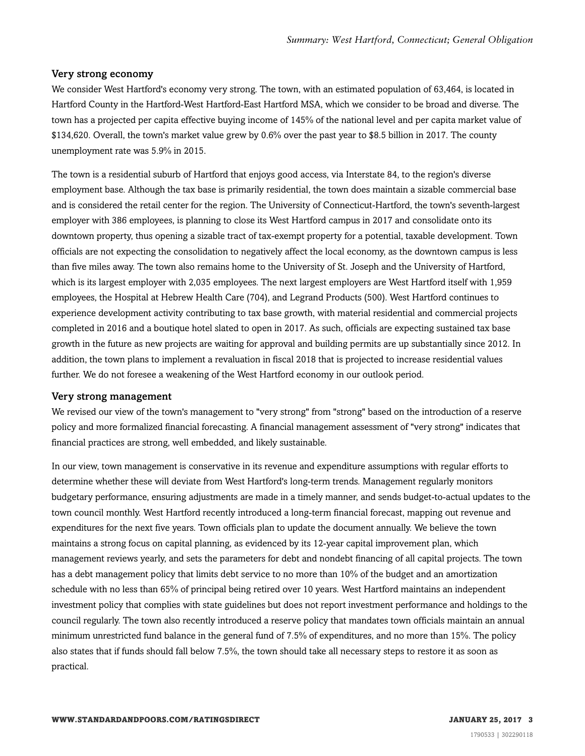#### Very strong economy

We consider West Hartford's economy very strong. The town, with an estimated population of 63,464, is located in Hartford County in the Hartford-West Hartford-East Hartford MSA, which we consider to be broad and diverse. The town has a projected per capita effective buying income of 145% of the national level and per capita market value of \$134,620. Overall, the town's market value grew by 0.6% over the past year to \$8.5 billion in 2017. The county unemployment rate was 5.9% in 2015.

The town is a residential suburb of Hartford that enjoys good access, via Interstate 84, to the region's diverse employment base. Although the tax base is primarily residential, the town does maintain a sizable commercial base and is considered the retail center for the region. The University of Connecticut-Hartford, the town's seventh-largest employer with 386 employees, is planning to close its West Hartford campus in 2017 and consolidate onto its downtown property, thus opening a sizable tract of tax-exempt property for a potential, taxable development. Town officials are not expecting the consolidation to negatively affect the local economy, as the downtown campus is less than five miles away. The town also remains home to the University of St. Joseph and the University of Hartford, which is its largest employer with 2,035 employees. The next largest employers are West Hartford itself with 1,959 employees, the Hospital at Hebrew Health Care (704), and Legrand Products (500). West Hartford continues to experience development activity contributing to tax base growth, with material residential and commercial projects completed in 2016 and a boutique hotel slated to open in 2017. As such, officials are expecting sustained tax base growth in the future as new projects are waiting for approval and building permits are up substantially since 2012. In addition, the town plans to implement a revaluation in fiscal 2018 that is projected to increase residential values further. We do not foresee a weakening of the West Hartford economy in our outlook period.

#### Very strong management

We revised our view of the town's management to "very strong" from "strong" based on the introduction of a reserve policy and more formalized financial forecasting. A financial management assessment of "very strong" indicates that financial practices are strong, well embedded, and likely sustainable.

In our view, town management is conservative in its revenue and expenditure assumptions with regular efforts to determine whether these will deviate from West Hartford's long-term trends. Management regularly monitors budgetary performance, ensuring adjustments are made in a timely manner, and sends budget-to-actual updates to the town council monthly. West Hartford recently introduced a long-term financial forecast, mapping out revenue and expenditures for the next five years. Town officials plan to update the document annually. We believe the town maintains a strong focus on capital planning, as evidenced by its 12-year capital improvement plan, which management reviews yearly, and sets the parameters for debt and nondebt financing of all capital projects. The town has a debt management policy that limits debt service to no more than 10% of the budget and an amortization schedule with no less than 65% of principal being retired over 10 years. West Hartford maintains an independent investment policy that complies with state guidelines but does not report investment performance and holdings to the council regularly. The town also recently introduced a reserve policy that mandates town officials maintain an annual minimum unrestricted fund balance in the general fund of 7.5% of expenditures, and no more than 15%. The policy also states that if funds should fall below 7.5%, the town should take all necessary steps to restore it as soon as practical.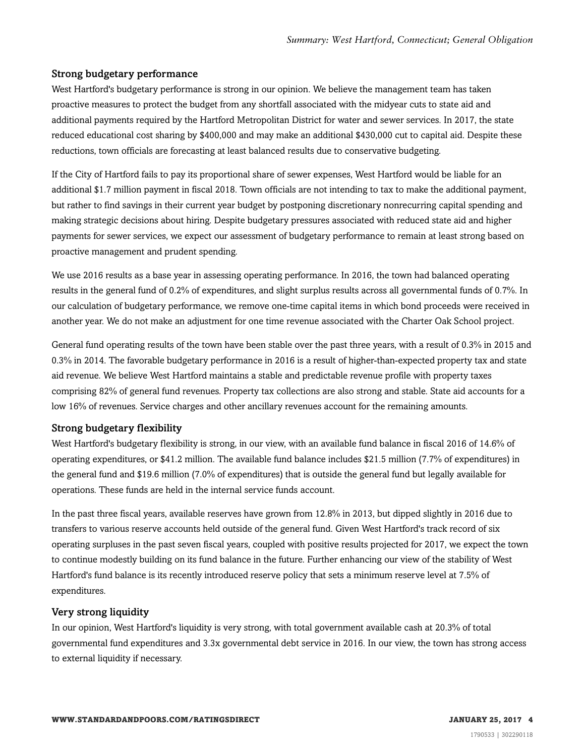#### Strong budgetary performance

West Hartford's budgetary performance is strong in our opinion. We believe the management team has taken proactive measures to protect the budget from any shortfall associated with the midyear cuts to state aid and additional payments required by the Hartford Metropolitan District for water and sewer services. In 2017, the state reduced educational cost sharing by \$400,000 and may make an additional \$430,000 cut to capital aid. Despite these reductions, town officials are forecasting at least balanced results due to conservative budgeting.

If the City of Hartford fails to pay its proportional share of sewer expenses, West Hartford would be liable for an additional \$1.7 million payment in fiscal 2018. Town officials are not intending to tax to make the additional payment, but rather to find savings in their current year budget by postponing discretionary nonrecurring capital spending and making strategic decisions about hiring. Despite budgetary pressures associated with reduced state aid and higher payments for sewer services, we expect our assessment of budgetary performance to remain at least strong based on proactive management and prudent spending.

We use 2016 results as a base year in assessing operating performance. In 2016, the town had balanced operating results in the general fund of 0.2% of expenditures, and slight surplus results across all governmental funds of 0.7%. In our calculation of budgetary performance, we remove one-time capital items in which bond proceeds were received in another year. We do not make an adjustment for one time revenue associated with the Charter Oak School project.

General fund operating results of the town have been stable over the past three years, with a result of 0.3% in 2015 and 0.3% in 2014. The favorable budgetary performance in 2016 is a result of higher-than-expected property tax and state aid revenue. We believe West Hartford maintains a stable and predictable revenue profile with property taxes comprising 82% of general fund revenues. Property tax collections are also strong and stable. State aid accounts for a low 16% of revenues. Service charges and other ancillary revenues account for the remaining amounts.

#### Strong budgetary flexibility

West Hartford's budgetary flexibility is strong, in our view, with an available fund balance in fiscal 2016 of 14.6% of operating expenditures, or \$41.2 million. The available fund balance includes \$21.5 million (7.7% of expenditures) in the general fund and \$19.6 million (7.0% of expenditures) that is outside the general fund but legally available for operations. These funds are held in the internal service funds account.

In the past three fiscal years, available reserves have grown from 12.8% in 2013, but dipped slightly in 2016 due to transfers to various reserve accounts held outside of the general fund. Given West Hartford's track record of six operating surpluses in the past seven fiscal years, coupled with positive results projected for 2017, we expect the town to continue modestly building on its fund balance in the future. Further enhancing our view of the stability of West Hartford's fund balance is its recently introduced reserve policy that sets a minimum reserve level at 7.5% of expenditures.

#### Very strong liquidity

In our opinion, West Hartford's liquidity is very strong, with total government available cash at 20.3% of total governmental fund expenditures and 3.3x governmental debt service in 2016. In our view, the town has strong access to external liquidity if necessary.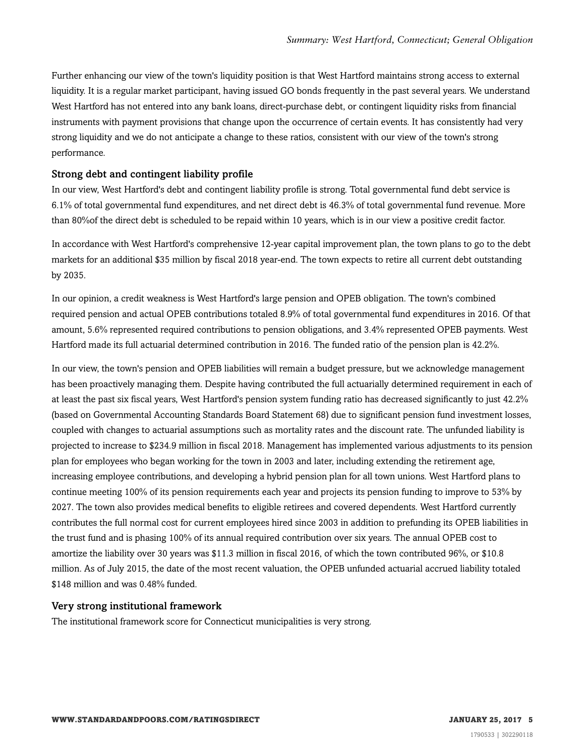Further enhancing our view of the town's liquidity position is that West Hartford maintains strong access to external liquidity. It is a regular market participant, having issued GO bonds frequently in the past several years. We understand West Hartford has not entered into any bank loans, direct-purchase debt, or contingent liquidity risks from financial instruments with payment provisions that change upon the occurrence of certain events. It has consistently had very strong liquidity and we do not anticipate a change to these ratios, consistent with our view of the town's strong performance.

#### Strong debt and contingent liability profile

In our view, West Hartford's debt and contingent liability profile is strong. Total governmental fund debt service is 6.1% of total governmental fund expenditures, and net direct debt is 46.3% of total governmental fund revenue. More than 80%of the direct debt is scheduled to be repaid within 10 years, which is in our view a positive credit factor.

In accordance with West Hartford's comprehensive 12-year capital improvement plan, the town plans to go to the debt markets for an additional \$35 million by fiscal 2018 year-end. The town expects to retire all current debt outstanding by 2035.

In our opinion, a credit weakness is West Hartford's large pension and OPEB obligation. The town's combined required pension and actual OPEB contributions totaled 8.9% of total governmental fund expenditures in 2016. Of that amount, 5.6% represented required contributions to pension obligations, and 3.4% represented OPEB payments. West Hartford made its full actuarial determined contribution in 2016. The funded ratio of the pension plan is 42.2%.

In our view, the town's pension and OPEB liabilities will remain a budget pressure, but we acknowledge management has been proactively managing them. Despite having contributed the full actuarially determined requirement in each of at least the past six fiscal years, West Hartford's pension system funding ratio has decreased significantly to just 42.2% (based on Governmental Accounting Standards Board Statement 68) due to significant pension fund investment losses, coupled with changes to actuarial assumptions such as mortality rates and the discount rate. The unfunded liability is projected to increase to \$234.9 million in fiscal 2018. Management has implemented various adjustments to its pension plan for employees who began working for the town in 2003 and later, including extending the retirement age, increasing employee contributions, and developing a hybrid pension plan for all town unions. West Hartford plans to continue meeting 100% of its pension requirements each year and projects its pension funding to improve to 53% by 2027. The town also provides medical benefits to eligible retirees and covered dependents. West Hartford currently contributes the full normal cost for current employees hired since 2003 in addition to prefunding its OPEB liabilities in the trust fund and is phasing 100% of its annual required contribution over six years. The annual OPEB cost to amortize the liability over 30 years was \$11.3 million in fiscal 2016, of which the town contributed 96%, or \$10.8 million. As of July 2015, the date of the most recent valuation, the OPEB unfunded actuarial accrued liability totaled \$148 million and was 0.48% funded.

#### Very strong institutional framework

The institutional framework score for Connecticut municipalities is very strong.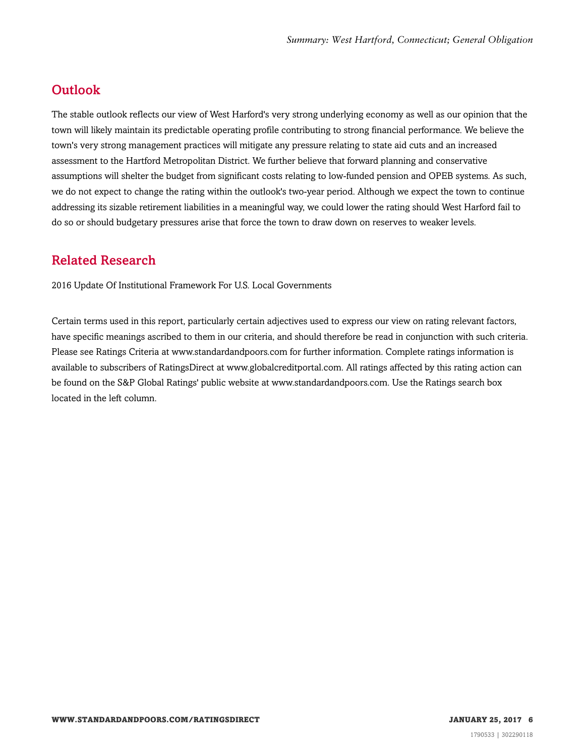## <span id="page-5-0"></span>**Outlook**

The stable outlook reflects our view of West Harford's very strong underlying economy as well as our opinion that the town will likely maintain its predictable operating profile contributing to strong financial performance. We believe the town's very strong management practices will mitigate any pressure relating to state aid cuts and an increased assessment to the Hartford Metropolitan District. We further believe that forward planning and conservative assumptions will shelter the budget from significant costs relating to low-funded pension and OPEB systems. As such, we do not expect to change the rating within the outlook's two-year period. Although we expect the town to continue addressing its sizable retirement liabilities in a meaningful way, we could lower the rating should West Harford fail to do so or should budgetary pressures arise that force the town to draw down on reserves to weaker levels.

## <span id="page-5-1"></span>Related Research

2016 Update Of Institutional Framework For U.S. Local Governments

Certain terms used in this report, particularly certain adjectives used to express our view on rating relevant factors, have specific meanings ascribed to them in our criteria, and should therefore be read in conjunction with such criteria. Please see Ratings Criteria at www.standardandpoors.com for further information. Complete ratings information is available to subscribers of RatingsDirect at www.globalcreditportal.com. All ratings affected by this rating action can be found on the S&P Global Ratings' public website at www.standardandpoors.com. Use the Ratings search box located in the left column.